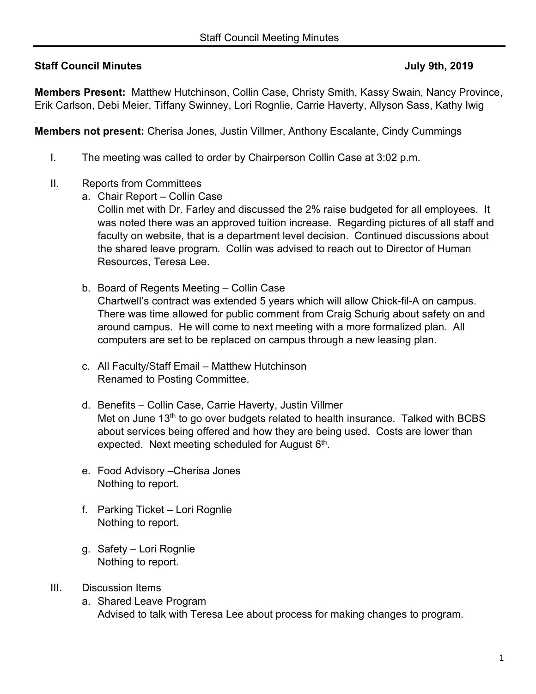## **Staff Council Minutes 19th Staff Council Minutes 19th August 2019 July 9th, 2019**

**Members Present:** Matthew Hutchinson, Collin Case, Christy Smith, Kassy Swain, Nancy Province, Erik Carlson, Debi Meier, Tiffany Swinney, Lori Rognlie, Carrie Haverty, Allyson Sass, Kathy Iwig

**Members not present:** Cherisa Jones, Justin Villmer, Anthony Escalante, Cindy Cummings

- I. The meeting was called to order by Chairperson Collin Case at 3:02 p.m.
- II. Reports from Committees
	- a. Chair Report Collin Case

Collin met with Dr. Farley and discussed the 2% raise budgeted for all employees. It was noted there was an approved tuition increase. Regarding pictures of all staff and faculty on website, that is a department level decision. Continued discussions about the shared leave program. Collin was advised to reach out to Director of Human Resources, Teresa Lee.

- b. Board of Regents Meeting Collin Case Chartwell's contract was extended 5 years which will allow Chick-fil-A on campus. There was time allowed for public comment from Craig Schurig about safety on and around campus. He will come to next meeting with a more formalized plan. All computers are set to be replaced on campus through a new leasing plan.
- c. All Faculty/Staff Email Matthew Hutchinson Renamed to Posting Committee.
- d. Benefits Collin Case, Carrie Haverty, Justin Villmer Met on June 13<sup>th</sup> to go over budgets related to health insurance. Talked with BCBS about services being offered and how they are being used. Costs are lower than expected. Next meeting scheduled for August  $6<sup>th</sup>$ .
- e. Food Advisory –Cherisa Jones Nothing to report.
- f. Parking Ticket Lori Rognlie Nothing to report.
- g. Safety Lori Rognlie Nothing to report.
- III. Discussion Items
	- a. Shared Leave Program Advised to talk with Teresa Lee about process for making changes to program.